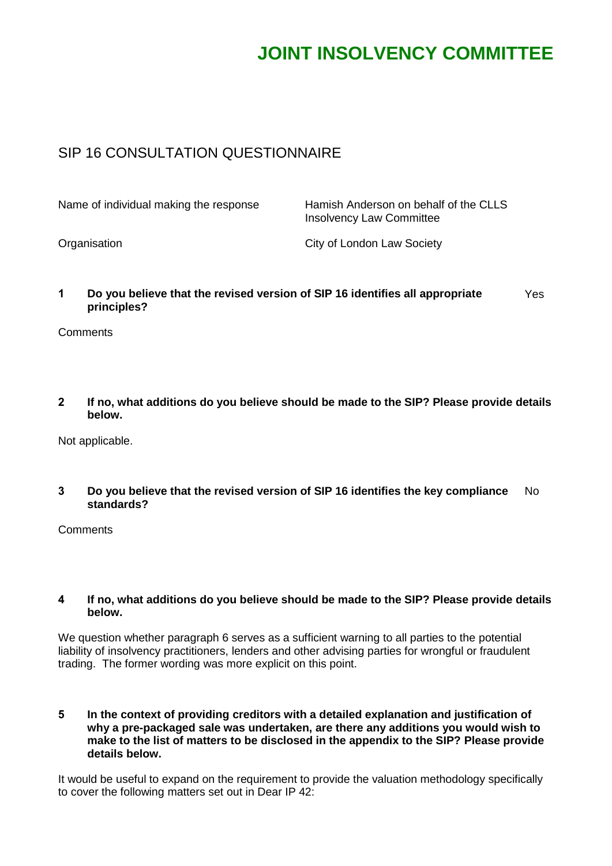# **JOINT INSOLVENCY COMMITTEE**

## SIP 16 CONSULTATION QUESTIONNAIRE

| Name of individual making the response | Hamish Anderson on behalf of the CLLS<br><b>Insolvency Law Committee</b> |
|----------------------------------------|--------------------------------------------------------------------------|
| Organisation                           | City of London Law Society                                               |

**1 Do you believe that the revised version of SIP 16 identifies all appropriate principles?** Yes

**Comments** 

**2 If no, what additions do you believe should be made to the SIP? Please provide details below.**

Not applicable.

**3 Do you believe that the revised version of SIP 16 identifies the key compliance standards?** No

**Comments** 

#### **4 If no, what additions do you believe should be made to the SIP? Please provide details below.**

We question whether paragraph 6 serves as a sufficient warning to all parties to the potential liability of insolvency practitioners, lenders and other advising parties for wrongful or fraudulent trading. The former wording was more explicit on this point.

**5 In the context of providing creditors with a detailed explanation and justification of why a pre-packaged sale was undertaken, are there any additions you would wish to make to the list of matters to be disclosed in the appendix to the SIP? Please provide details below.**

It would be useful to expand on the requirement to provide the valuation methodology specifically to cover the following matters set out in Dear IP 42: